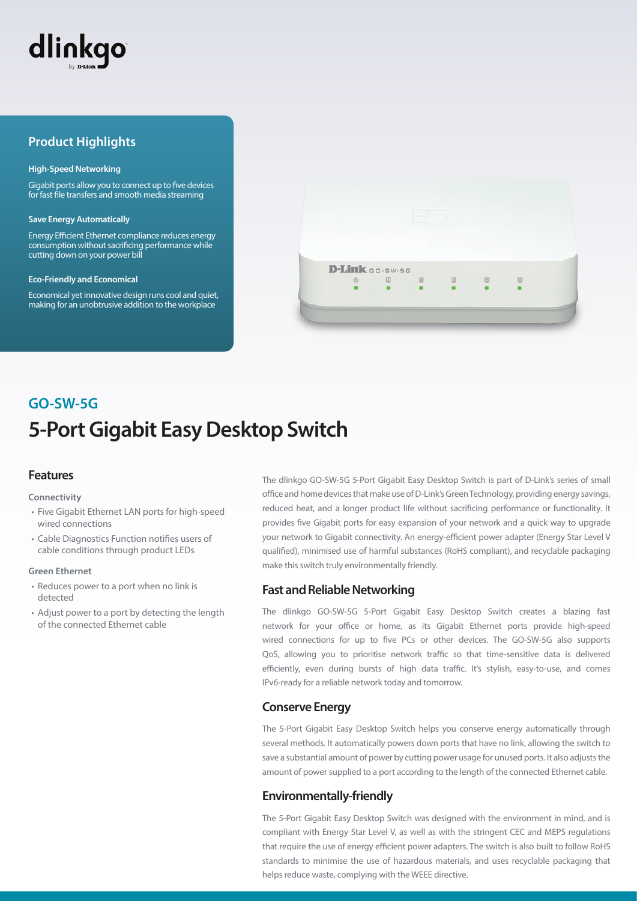

## **Product Highlights**

#### **High-Speed Networking**

Gigabit ports allow you to connect up to five devices for fast file transfers and smooth media streaming

#### **Save Energy Automatically**

Energy Efficient Ethernet compliance reduces energy consumption without sacrificing performance while cutting down on your power bill

#### **Eco-Friendly and Economical**

Economical yet innovative design runs cool and quiet, making for an unobtrusive addition to the workplace



# **5-Port Gigabit Easy Desktop Switch GO-SW-5G**

## **Features**

#### **Connectivity**

- Five Gigabit Ethernet LAN ports for high-speed wired connections
- Cable Diagnostics Function notifies users of cable conditions through product LEDs

#### **Green Ethernet**

- Reduces power to a port when no link is detected
- Adjust power to a port by detecting the length of the connected Ethernet cable

The dlinkgo GO-SW-5G 5-Port Gigabit Easy Desktop Switch is part of D-Link's series of small office and home devices that make use of D-Link's Green Technology, providing energy savings, reduced heat, and a longer product life without sacrificing performance or functionality. It provides five Gigabit ports for easy expansion of your network and a quick way to upgrade your network to Gigabit connectivity. An energy-efficient power adapter (Energy Star Level V qualified), minimised use of harmful substances (RoHS compliant), and recyclable packaging make this switch truly environmentally friendly.

## **Fast and Reliable Networking**

The dlinkgo GO-SW-5G 5-Port Gigabit Easy Desktop Switch creates a blazing fast network for your office or home, as its Gigabit Ethernet ports provide high-speed wired connections for up to five PCs or other devices. The GO-SW-5G also supports QoS, allowing you to prioritise network traffic so that time-sensitive data is delivered efficiently, even during bursts of high data traffic. It's stylish, easy-to-use, and comes IPv6-ready for a reliable network today and tomorrow.

## **Conserve Energy**

The 5-Port Gigabit Easy Desktop Switch helps you conserve energy automatically through several methods. It automatically powers down ports that have no link, allowing the switch to save a substantial amount of power by cutting power usage for unused ports. It also adjusts the amount of power supplied to a port according to the length of the connected Ethernet cable.

## **Environmentally-friendly**

The 5-Port Gigabit Easy Desktop Switch was designed with the environment in mind, and is compliant with Energy Star Level V, as well as with the stringent CEC and MEPS regulations that require the use of energy efficient power adapters. The switch is also built to follow RoHS standards to minimise the use of hazardous materials, and uses recyclable packaging that helps reduce waste, complying with the WEEE directive.